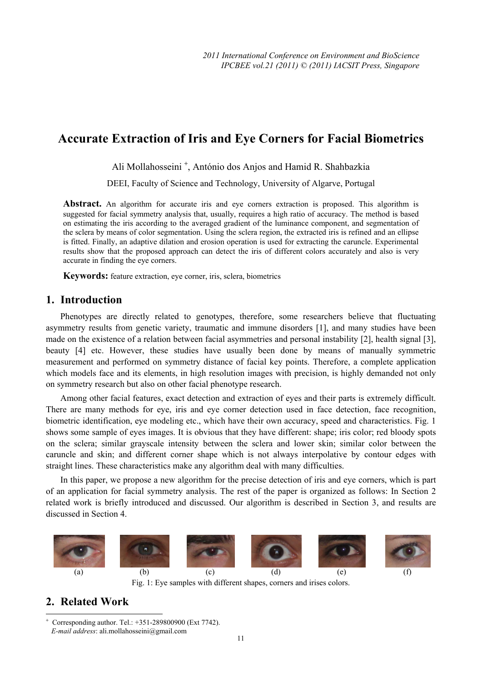# **Accurate Extraction of Iris and Eye Corners for Facial Biometrics**

Ali Mollahosseini <sup>+</sup> , António dos Anjos and Hamid R. Shahbazkia

DEEI, Faculty of Science and Technology, University of Algarve, Portugal

Abstract. An algorithm for accurate iris and eye corners extraction is proposed. This algorithm is suggested for facial symmetry analysis that, usually, requires a high ratio of accuracy. The method is based on estimating the iris according to the averaged gradient of the luminance component, and segmentation of the sclera by means of color segmentation. Using the sclera region, the extracted iris is refined and an ellipse is fitted. Finally, an adaptive dilation and erosion operation is used for extracting the caruncle. Experimental results show that the proposed approach can detect the iris of different colors accurately and also is very accurate in finding the eye corners.

**Keywords:** feature extraction, eye corner, iris, sclera, biometrics

## **1. Introduction**

Phenotypes are directly related to genotypes, therefore, some researchers believe that fluctuating asymmetry results from genetic variety, traumatic and immune disorders [1], and many studies have been made on the existence of a relation between facial asymmetries and personal instability [2], health signal [3], beauty [4] etc. However, these studies have usually been done by means of manually symmetric measurement and performed on symmetry distance of facial key points. Therefore, a complete application which models face and its elements, in high resolution images with precision, is highly demanded not only on symmetry research but also on other facial phenotype research.

Among other facial features, exact detection and extraction of eyes and their parts is extremely difficult. There are many methods for eye, iris and eye corner detection used in face detection, face recognition, biometric identification, eye modeling etc., which have their own accuracy, speed and characteristics. Fig. 1 shows some sample of eyes images. It is obvious that they have different: shape; iris color; red bloody spots on the sclera; similar grayscale intensity between the sclera and lower skin; similar color between the caruncle and skin; and different corner shape which is not always interpolative by contour edges with straight lines. These characteristics make any algorithm deal with many difficulties.

In this paper, we propose a new algorithm for the precise detection of iris and eye corners, which is part of an application for facial symmetry analysis. The rest of the paper is organized as follows: In Section 2 related work is briefly introduced and discussed. Our algorithm is described in Section 3, and results are discussed in Section 4.



#### Fig. 1: Eye samples with different shapes, corners and irises colors.

## **2. Related Work**

<sup>+</sup> Corresponding author. Tel.: +351-289800900 (Ext 7742). *E-mail address*: ali.mollahosseini@gmail.com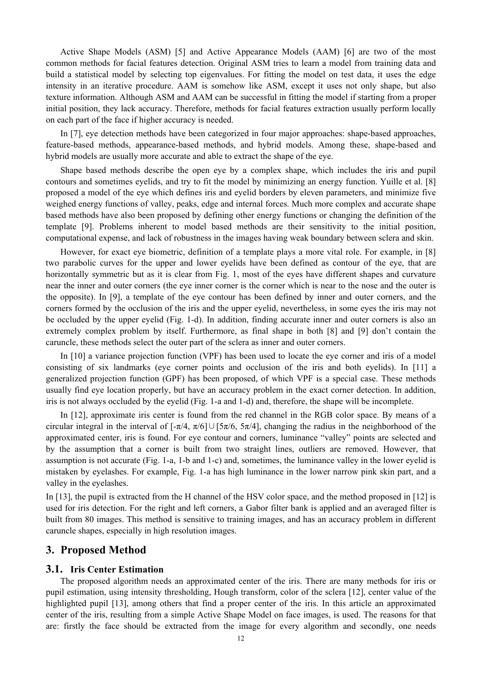Active Shape Models (ASM) [5] and Active Appearance Models (AAM) [6] are two of the most common methods for facial features detection. Original ASM tries to learn a model from training data and build a statistical model by selecting top eigenvalues. For fitting the model on test data, it uses the edge intensity in an iterative procedure. AAM is somehow like ASM, except it uses not only shape, but also texture information. Although ASM and AAM can be successful in fitting the model if starting from a proper initial position, they lack accuracy. Therefore, methods for facial features extraction usually perform locally on each part of the face if higher accuracy is needed.

In [7], eye detection methods have been categorized in four major approaches: shape-based approaches, feature-based methods, appearance-based methods, and hybrid models. Among these, shape-based and hybrid models are usually more accurate and able to extract the shape of the eye.

Shape based methods describe the open eye by a complex shape, which includes the iris and pupil contours and sometimes eyelids, and try to fit the model by minimizing an energy function. Yuille et al. [8] proposed a model of the eye which defines iris and eyelid borders by eleven parameters, and minimize five weighed energy functions of valley, peaks, edge and internal forces. Much more complex and accurate shape based methods have also been proposed by defining other energy functions or changing the definition of the template [9]. Problems inherent to model based methods are their sensitivity to the initial position, computational expense, and lack of robustness in the images having weak boundary between sclera and skin.

However, for exact eye biometric, definition of a template plays a more vital role. For example, in [8] two parabolic curves for the upper and lower eyelids have been defined as contour of the eye, that are horizontally symmetric but as it is clear from Fig. 1, most of the eyes have different shapes and curvature near the inner and outer corners (the eye inner corner is the corner which is near to the nose and the outer is the opposite). In [9], a template of the eye contour has been defined by inner and outer corners, and the corners formed by the occlusion of the iris and the upper eyelid, nevertheless, in some eyes the iris may not be occluded by the upper eyelid (Fig. 1-d). In addition, finding accurate inner and outer corners is also an extremely complex problem by itself. Furthermore, as final shape in both [8] and [9] don't contain the caruncle, these methods select the outer part of the sclera as inner and outer corners.

In [10] a variance projection function (VPF) has been used to locate the eye corner and iris of a model consisting of six landmarks (eye corner points and occlusion of the iris and both eyelids). In [11] a generalized projection function (GPF) has been proposed, of which VPF is a special case. These methods usually find eye location properly, but have an accuracy problem in the exact corner detection. In addition, iris is not always occluded by the eyelid (Fig. 1-a and 1-d) and, therefore, the shape will be incomplete.

In [12], approximate iris center is found from the red channel in the RGB color space. By means of a circular integral in the interval of  $[-\pi/4, \pi/6] \cup [5\pi/6, 5\pi/4]$ , changing the radius in the neighborhood of the approximated center, iris is found. For eye contour and corners, luminance "valley" points are selected and by the assumption that a corner is built from two straight lines, outliers are removed. However, that assumption is not accurate (Fig. 1-a, 1-b and 1-c) and, sometimes, the luminance valley in the lower eyelid is mistaken by eyelashes. For example, Fig. 1-a has high luminance in the lower narrow pink skin part, and a valley in the eyelashes.

In [13], the pupil is extracted from the H channel of the HSV color space, and the method proposed in [12] is used for iris detection. For the right and left corners, a Gabor filter bank is applied and an averaged filter is built from 80 images. This method is sensitive to training images, and has an accuracy problem in different caruncle shapes, especially in high resolution images.

### **3. Proposed Method**

#### **3.1. Iris Center Estimation**

The proposed algorithm needs an approximated center of the iris. There are many methods for iris or pupil estimation, using intensity thresholding, Hough transform, color of the sclera [12], center value of the highlighted pupil [13], among others that find a proper center of the iris. In this article an approximated center of the iris, resulting from a simple Active Shape Model on face images, is used. The reasons for that are: firstly the face should be extracted from the image for every algorithm and secondly, one needs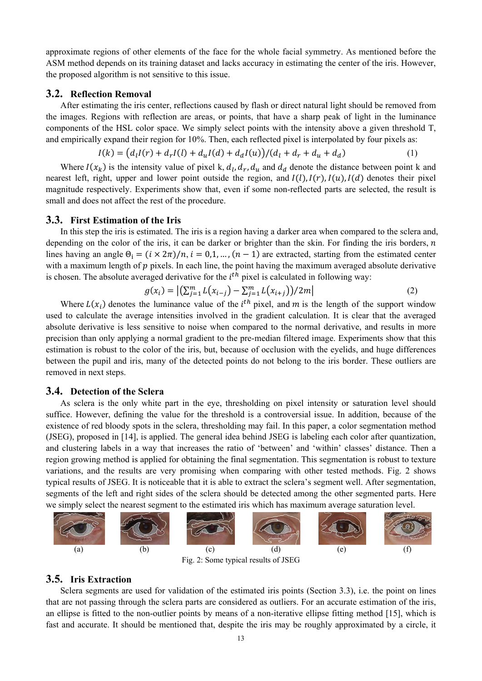approximate regions of other elements of the face for the whole facial symmetry. As mentioned before the ASM method depends on its training dataset and lacks accuracy in estimating the center of the iris. However, the proposed algorithm is not sensitive to this issue.

#### **3.2. Reflection Removal**

After estimating the iris center, reflections caused by flash or direct natural light should be removed from the images. Regions with reflection are areas, or points, that have a sharp peak of light in the luminance components of the HSL color space. We simply select points with the intensity above a given threshold T, and empirically expand their region for 10%. Then, each reflected pixel is interpolated by four pixels as:

$$
I(k) = (d_l I(r) + d_r I(l) + d_u I(d) + d_d I(u))/(d_l + d_r + d_u + d_d)
$$
\n(1)

Where  $I(x_k)$  is the intensity value of pixel k,  $d_l, d_r, d_u$  and  $d_d$  denote the distance between point k and nearest left, right, upper and lower point outside the region, and  $I(l)$ ,  $I(r)$ ,  $I(u)$ ,  $I(d)$  denotes their pixel magnitude respectively. Experiments show that, even if some non-reflected parts are selected, the result is small and does not affect the rest of the procedure.

#### **3.3. First Estimation of the Iris**

In this step the iris is estimated. The iris is a region having a darker area when compared to the sclera and, depending on the color of the iris, it can be darker or brighter than the skin. For finding the iris borders,  $n$ lines having an angle  $\Theta_i = (i \times 2\pi)/n$ ,  $i = 0,1,..., (n-1)$  are extracted, starting from the estimated center with a maximum length of  $p$  pixels. In each line, the point having the maximum averaged absolute derivative is chosen. The absolute averaged derivative for the  $i<sup>th</sup>$  pixel is calculated in following way:

$$
g(x_i) = |(\sum_{j=1}^{m} L(x_{i-j}) - \sum_{j=1}^{m} L(x_{i+j})) / 2m|
$$
 (2)

Where  $L(x_i)$  denotes the luminance value of the  $i^{th}$  pixel, and m is the length of the support window used to calculate the average intensities involved in the gradient calculation. It is clear that the averaged absolute derivative is less sensitive to noise when compared to the normal derivative, and results in more precision than only applying a normal gradient to the pre-median filtered image. Experiments show that this estimation is robust to the color of the iris, but, because of occlusion with the eyelids, and huge differences between the pupil and iris, many of the detected points do not belong to the iris border. These outliers are removed in next steps.

#### **3.4. Detection of the Sclera**

As sclera is the only white part in the eye, thresholding on pixel intensity or saturation level should suffice. However, defining the value for the threshold is a controversial issue. In addition, because of the existence of red bloody spots in the sclera, thresholding may fail. In this paper, a color segmentation method (JSEG), proposed in [14], is applied. The general idea behind JSEG is labeling each color after quantization, and clustering labels in a way that increases the ratio of 'between' and 'within' classes' distance. Then a region growing method is applied for obtaining the final segmentation. This segmentation is robust to texture variations, and the results are very promising when comparing with other tested methods. Fig. 2 shows typical results of JSEG. It is noticeable that it is able to extract the sclera's segment well. After segmentation, segments of the left and right sides of the sclera should be detected among the other segmented parts. Here we simply select the nearest segment to the estimated iris which has maximum average saturation level.



Fig. 2: Some typical results of JSEG

#### **3.5. Iris Extraction**

Sclera segments are used for validation of the estimated iris points (Section 3.3), i.e. the point on lines that are not passing through the sclera parts are considered as outliers. For an accurate estimation of the iris, an ellipse is fitted to the non-outlier points by means of a non-iterative ellipse fitting method [15], which is fast and accurate. It should be mentioned that, despite the iris may be roughly approximated by a circle, it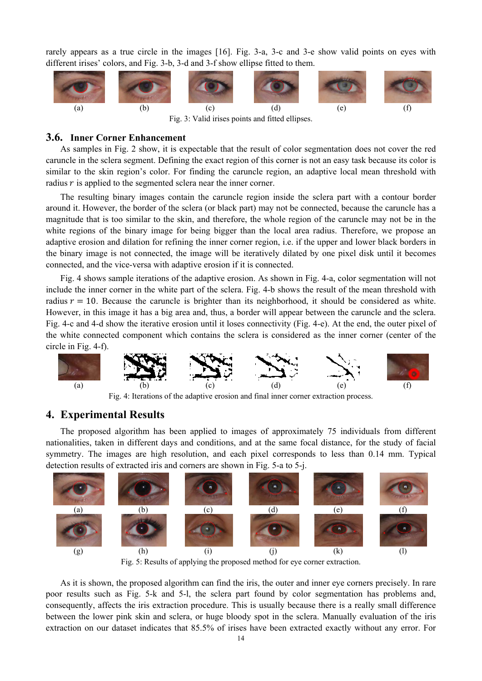rarely appears as a true circle in the images [16]. Fig. 3-a, 3-c and 3-e show valid points on eyes with different irises' colors, and Fig. 3-b, 3-d and 3-f show ellipse fitted to them.



Fig. 3: Valid irises points and fitted ellipses.

### **3.6. Inner Corner Enhancement**

As samples in Fig. 2 show, it is expectable that the result of color segmentation does not cover the red caruncle in the sclera segment. Defining the exact region of this corner is not an easy task because its color is similar to the skin region's color. For finding the caruncle region, an adaptive local mean threshold with radius  $r$  is applied to the segmented sclera near the inner corner.

The resulting binary images contain the caruncle region inside the sclera part with a contour border around it. However, the border of the sclera (or black part) may not be connected, because the caruncle has a magnitude that is too similar to the skin, and therefore, the whole region of the caruncle may not be in the white regions of the binary image for being bigger than the local area radius. Therefore, we propose an adaptive erosion and dilation for refining the inner corner region, i.e. if the upper and lower black borders in the binary image is not connected, the image will be iteratively dilated by one pixel disk until it becomes connected, and the vice-versa with adaptive erosion if it is connected.

Fig. 4 shows sample iterations of the adaptive erosion. As shown in Fig. 4-a, color segmentation will not include the inner corner in the white part of the sclera. Fig. 4-b shows the result of the mean threshold with radius  $r = 10$ . Because the caruncle is brighter than its neighborhood, it should be considered as white. However, in this image it has a big area and, thus, a border will appear between the caruncle and the sclera. Fig. 4-c and 4-d show the iterative erosion until it loses connectivity (Fig. 4-e). At the end, the outer pixel of the white connected component which contains the sclera is considered as the inner corner (center of the circle in Fig. 4-f).



Fig. 4: Iterations of the adaptive erosion and final inner corner extraction process.

## **4. Experimental Results**

The proposed algorithm has been applied to images of approximately 75 individuals from different nationalities, taken in different days and conditions, and at the same focal distance, for the study of facial symmetry. The images are high resolution, and each pixel corresponds to less than 0.14 mm. Typical detection results of extracted iris and corners are shown in Fig. 5-a to 5-j.



Fig. 5: Results of applying the proposed method for eye corner extraction.

As it is shown, the proposed algorithm can find the iris, the outer and inner eye corners precisely. In rare poor results such as Fig. 5-k and 5-l, the sclera part found by color segmentation has problems and, consequently, affects the iris extraction procedure. This is usually because there is a really small difference between the lower pink skin and sclera, or huge bloody spot in the sclera. Manually evaluation of the iris extraction on our dataset indicates that 85.5% of irises have been extracted exactly without any error. For